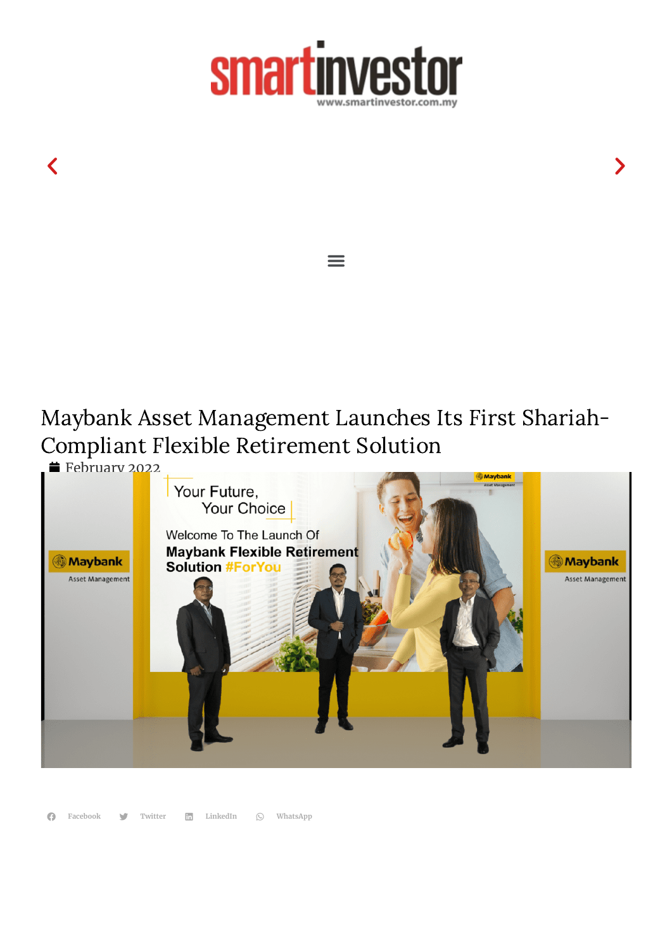

 $\equiv$ 

 $\langle$  , and the contract of the contract of the contract of the contract of the contract of the contract of the contract of the contract of the contract of the contract of the contract of the contract of the contract of th

## Maybank Asset Management Launches Its First Shariah-Compliant Flexible Retirement Solution

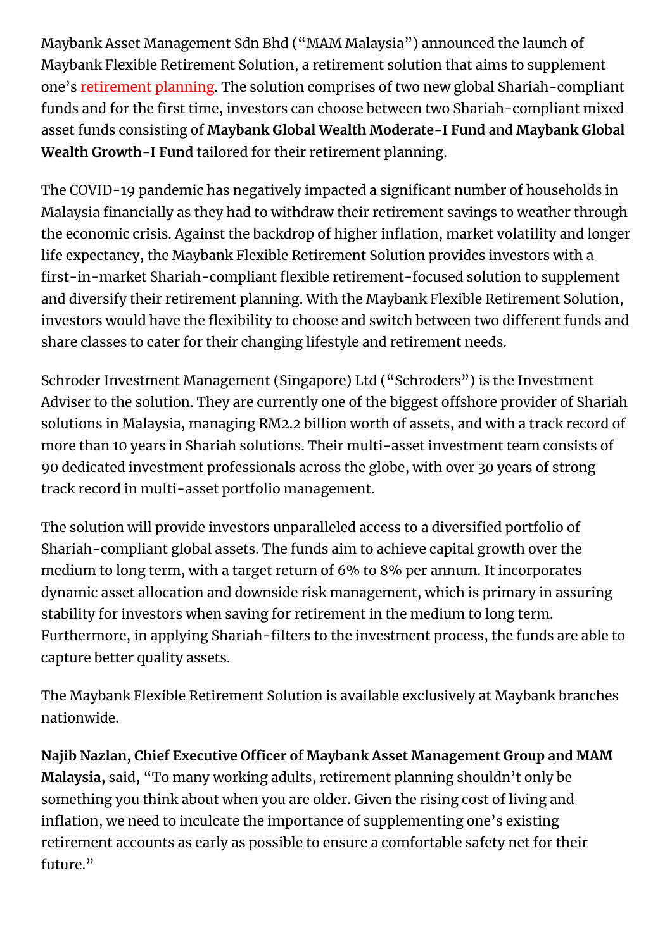Maybank Asset Management Sdn Bhd ("MAM Malaysia") announced the launch of Maybank Flexible Retirement Solution, a retirement solution that aims to supplement one's [retirement](https://www.smartinvestor.com.my/best-retirement-planning-in-malaysia/) planning. The solution comprises of two new global Shariah-compliant funds and for the first time, investors can choose between two Shariah-compliant mixed asset funds consisting of **Maybank Global Wealth Moderate-I Fund** and **Maybank Global Wealth Growth-I Fund** tailored for their retirement planning.

The COVID-19 pandemic has negatively impacted a significant number of households in Malaysia financially as they had to withdraw their retirement savings to weather through the economic crisis. Against the backdrop of higher inflation, market volatility and longer life expectancy, the Maybank Flexible Retirement Solution provides investors with a first-in-market Shariah-compliant flexible retirement-focused solution to supplement and diversify their retirement planning. With the Maybank Flexible Retirement Solution, investors would have the flexibility to choose and switch between two different funds and share classes to cater for their changing lifestyle and retirement needs.

Schroder Investment Management (Singapore) Ltd ("Schroders") is the Investment Adviser to the solution. They are currently one of the biggest offshore provider of Shariah solutions in Malaysia, managing RM2.2 billion worth of assets, and with a track record of more than 10 years in Shariah solutions. Their multi-asset investment team consists of 90 dedicated investment professionals across the globe, with over 30 years of strong track record in multi-asset portfolio management.

The solution will provide investors unparalleled access to a diversified portfolio of Shariah-compliant global assets. The funds aim to achieve capital growth over the medium to long term, with a target return of 6% to 8% per annum. It incorporates dynamic asset allocation and downside risk management, which is primary in assuring stability for investors when saving for retirement in the medium to long term. Furthermore, in applying Shariah-filters to the investment process, the funds are able to capture better quality assets.

The Maybank Flexible Retirement Solution is available exclusively at Maybank branches nationwide.

**Najib Nazlan, Chief Executive Officer of Maybank Asset Management Group and MAM Malaysia,** said, "To many working adults, retirement planning shouldn't only be something you think about when you are older. Given the rising cost of living and inflation, we need to inculcate the importance of supplementing one's existing retirement accounts as early as possible to ensure a comfortable safety net for their future."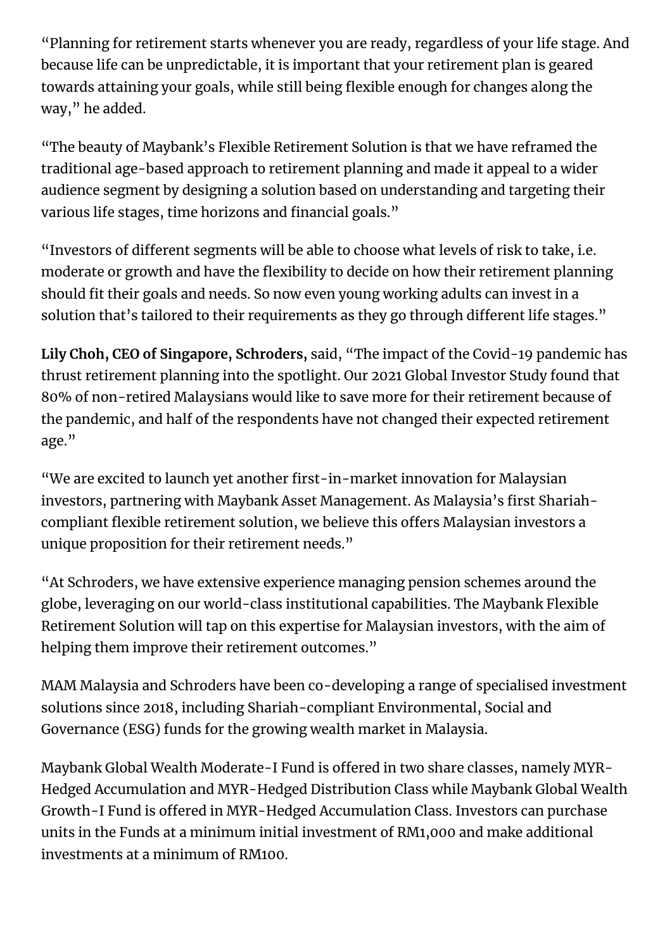"Planning for retirement starts whenever you are ready, regardless of your life stage. And because life can be unpredictable, it is important that your retirement plan is geared towards attaining your goals, while still being flexible enough for changes along the way," he added.

"The beauty of Maybank's Flexible Retirement Solution is that we have reframed the traditional age-based approach to retirement planning and made it appeal to a wider audience segment by designing a solution based on understanding and targeting their various life stages, time horizons and financial goals."

"Investors of different segments will be able to choose what levels of risk to take, i.e. moderate or growth and have the flexibility to decide on how their retirement planning should fit their goals and needs. So now even young working adults can invest in a solution that's tailored to their requirements as they go through different life stages."

**Lily Choh, CEO of Singapore, Schroders,** said, "The impact of the Covid-19 pandemic has thrust retirement planning into the spotlight. Our 2021 Global Investor Study found that 80% of non-retired Malaysians would like to save more for their retirement because of the pandemic, and half of the respondents have not changed their expected retirement age."

"We are excited to launch yet another first-in-market innovation for Malaysian investors, partnering with Maybank Asset Management. As Malaysia's first Shariahcompliant flexible retirement solution, we believe this offers Malaysian investors a unique proposition for their retirement needs."

"At Schroders, we have extensive experience managing pension schemes around the globe, leveraging on our world-class institutional capabilities. The Maybank Flexible Retirement Solution will tap on this expertise for Malaysian investors, with the aim of helping them improve their retirement outcomes."

MAM Malaysia and Schroders have been co-developing a range of specialised investment solutions since 2018, including Shariah-compliant Environmental, Social and Governance (ESG) funds for the growing wealth market in Malaysia.

Maybank Global Wealth Moderate-I Fund is offered in two share classes, namely MYR-Hedged Accumulation and MYR-Hedged Distribution Class while Maybank Global Wealth Growth-I Fund is offered in MYR-Hedged Accumulation Class. Investors can purchase units in the Funds at a minimum initial investment of RM1,000 and make additional investments at a minimum of RM100.